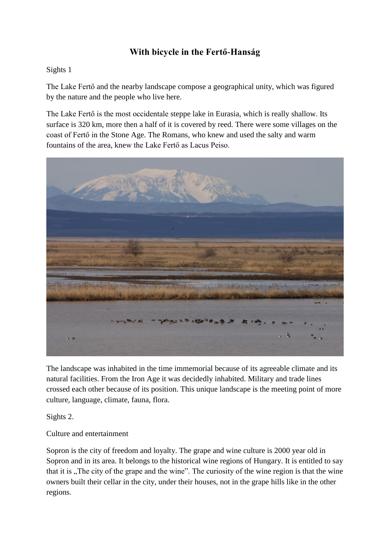# **With bicycle in the Fertő-Hanság**

#### Sights 1

The Lake Fertő and the nearby landscape compose a geographical unity, which was figured by the nature and the people who live here.

The Lake Fertő is the most occidentale steppe lake in Eurasia, which is really shallow. Its surface is 320 km, more then a half of it is covered by reed. There were some villages on the coast of Fertő in the Stone Age. The Romans, who knew and used the salty and warm fountains of the area, knew the Lake Fertő as Lacus Peiso.



The landscape was inhabited in the time immemorial because of its agreeable climate and its natural facilities. From the Iron Age it was decidedly inhabited. Military and trade lines crossed each other because of its position. This unique landscape is the meeting point of more culture, language, climate, fauna, flora.

Sights 2.

## Culture and entertainment

Sopron is the city of freedom and loyalty. The grape and wine culture is 2000 year old in Sopron and in its area. It belongs to the historical wine regions of Hungary. It is entitled to say that it is "The city of the grape and the wine". The curiosity of the wine region is that the wine owners built their cellar in the city, under their houses, not in the grape hills like in the other regions.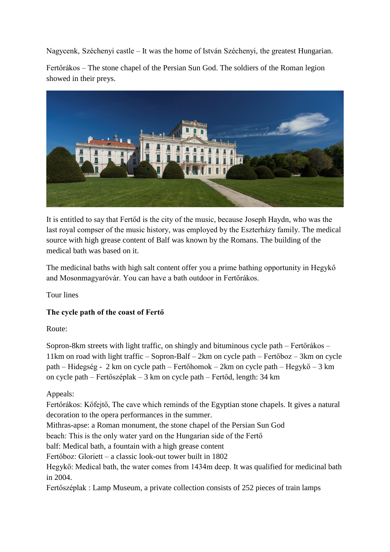Nagycenk, Széchenyi castle – It was the home of István Széchenyi, the greatest Hungarian.

Fertőrákos – The stone chapel of the Persian Sun God. The soldiers of the Roman legion showed in their preys.



It is entitled to say that Fertőd is the city of the music, because Joseph Haydn, who was the last royal compser of the music history, was employed by the Eszterházy family. The medical source with high grease content of Balf was known by the Romans. The building of the medical bath was based on it.

The medicinal baths with high salt content offer you a prime bathing opportunity in Hegykő and Mosonmagyaróvár. You can have a bath outdoor in Fertőrákos.

Tour lines

# **The cycle path of the coast of Fertő**

Route:

Sopron-8km streets with light traffic, on shingly and bituminous cycle path – Fertőrákos – 11km on road with light traffic – Sopron-Balf – 2km on cycle path – Fertőboz – 3km on cycle path – Hidegség - 2 km on cycle path – Fertőhomok – 2km on cycle path – Hegykő – 3 km on cycle path – Fertőszéplak – 3 km on cycle path – Fertőd, length: 34 km

Appeals:

Fertőrákos: Kőfejtő, The cave which reminds of the Egyptian stone chapels. It gives a natural decoration to the opera performances in the summer.

Mithras-apse: a Roman monument, the stone chapel of the Persian Sun God

beach: This is the only water yard on the Hungarian side of the Fertő

balf: Medical bath, a fountain with a high grease content

Fertőboz: Gloriett – a classic look-out tower built in 1802

Hegykő: Medical bath, the water comes from 1434m deep. It was qualified for medicinal bath in 2004.

Fertőszéplak : Lamp Museum, a private collection consists of 252 pieces of train lamps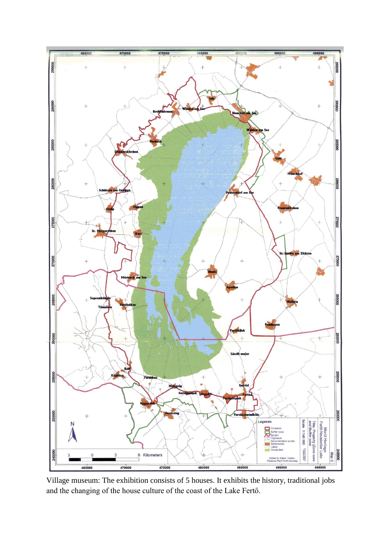

Village museum: The exhibition consists of 5 houses. It exhibits the history, traditional jobs and the changing of the house culture of the coast of the Lake Fertő.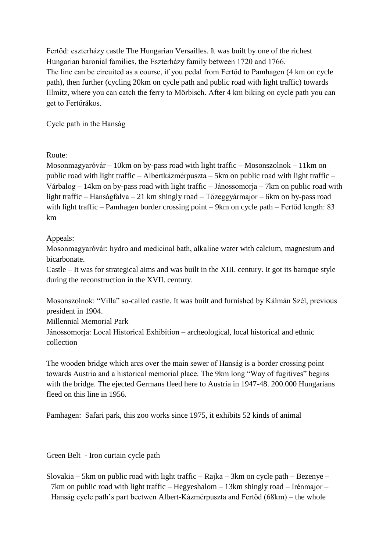Fertőd: eszterházy castle The Hungarian Versailles. It was built by one of the richest Hungarian baronial families, the Eszterházy family between 1720 and 1766. The line can be circuited as a course, if you pedal from Fertőd to Pamhagen (4 km on cycle path), then further (cycling 20km on cycle path and public road with light traffic) towards Illmitz, where you can catch the ferry to Mörbisch. After 4 km biking on cycle path you can get to Fertőrákos.

Cycle path in the Hanság

Route:

Mosonmagyaróvár – 10km on by-pass road with light traffic – Mosonszolnok – 11km on public road with light traffic – Albertkázmérpuszta – 5km on public road with light traffic – Várbalog – 14km on by-pass road with light traffic – Jánossomorja – 7km on public road with light traffic – Hanságfalva – 21 km shingly road – Tőzeggyármajor – 6km on by-pass road with light traffic – Pamhagen border crossing point – 9km on cycle path – Fertőd length: 83 km

## Appeals:

Mosonmagyaróvár: hydro and medicinal bath, alkaline water with calcium, magnesium and bicarbonate.

Castle – It was for strategical aims and was built in the XIII. century. It got its baroque style during the reconstruction in the XVII. century.

Mosonszolnok: "Villa" so-called castle. It was built and furnished by Kálmán Szél, previous president in 1904.

Millennial Memorial Park

Jánossomorja: Local Historical Exhibition – archeological, local historical and ethnic collection

The wooden bridge which arcs over the main sewer of Hanság is a border crossing point towards Austria and a historical memorial place. The 9km long "Way of fugitives" begins with the bridge. The ejected Germans fleed here to Austria in 1947-48, 200,000 Hungarians fleed on this line in 1956.

Pamhagen: Safari park, this zoo works since 1975, it exhibits 52 kinds of animal

## Green Belt - Iron curtain cycle path

Slovakia – 5km on public road with light traffic – Rajka – 3km on cycle path – Bezenye – 7km on public road with light traffic – Hegyeshalom – 13km shingly road – Irénmajor – Hanság cycle path's part beetwen Albert-Kázmérpuszta and Fertőd (68km) – the whole